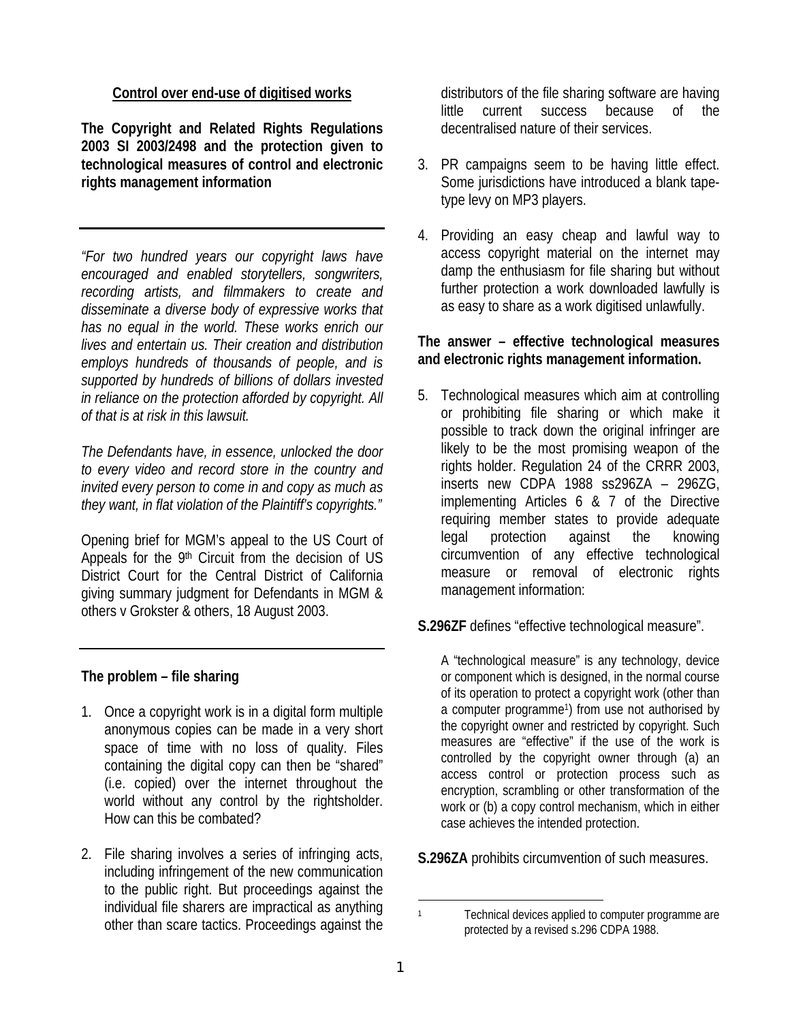## **Control over end-use of digitised works**

**The Copyright and Related Rights Regulations 2003 SI 2003/2498 and the protection given to technological measures of control and electronic rights management information** 

*"For two hundred years our copyright laws have encouraged and enabled storytellers, songwriters, recording artists, and filmmakers to create and disseminate a diverse body of expressive works that has no equal in the world. These works enrich our lives and entertain us. Their creation and distribution employs hundreds of thousands of people, and is supported by hundreds of billions of dollars invested in reliance on the protection afforded by copyright. All of that is at risk in this lawsuit.* 

*The Defendants have, in essence, unlocked the door to every video and record store in the country and invited every person to come in and copy as much as they want, in flat violation of the Plaintiff's copyrights."*

Opening brief for MGM's appeal to the US Court of Appeals for the 9<sup>th</sup> Circuit from the decision of US District Court for the Central District of California giving summary judgment for Defendants in MGM & others v Grokster & others, 18 August 2003.

## **The problem – file sharing**

- 1. Once a copyright work is in a digital form multiple anonymous copies can be made in a very short space of time with no loss of quality. Files containing the digital copy can then be "shared" (i.e. copied) over the internet throughout the world without any control by the rightsholder. How can this be combated?
- 2. File sharing involves a series of infringing acts, including infringement of the new communication to the public right. But proceedings against the individual file sharers are impractical as anything other than scare tactics. Proceedings against the

distributors of the file sharing software are having little current success because of the decentralised nature of their services.

- 3. PR campaigns seem to be having little effect. Some jurisdictions have introduced a blank tapetype levy on MP3 players.
- 4. Providing an easy cheap and lawful way to access copyright material on the internet may damp the enthusiasm for file sharing but without further protection a work downloaded lawfully is as easy to share as a work digitised unlawfully.

## **The answer – effective technological measures and electronic rights management information.**

5. Technological measures which aim at controlling or prohibiting file sharing or which make it possible to track down the original infringer are likely to be the most promising weapon of the rights holder. Regulation 24 of the CRRR 2003, inserts new CDPA 1988 ss296ZA – 296ZG, implementing Articles 6 & 7 of the Directive requiring member states to provide adequate legal protection against the knowing circumvention of any effective technological measure or removal of electronic rights management information:

**S.296ZF** defines "effective technological measure".

A "technological measure" is any technology, device or component which is designed, in the normal course of its operation to protect a copyright work (other than a computer programme1) from use not authorised by the copyright owner and restricted by copyright. Such measures are "effective" if the use of the work is controlled by the copyright owner through (a) an access control or protection process such as encryption, scrambling or other transformation of the work or (b) a copy control mechanism, which in either case achieves the intended protection.

**S.296ZA** prohibits circumvention of such measures.

j 1 Technical devices applied to computer programme are protected by a revised s.296 CDPA 1988.